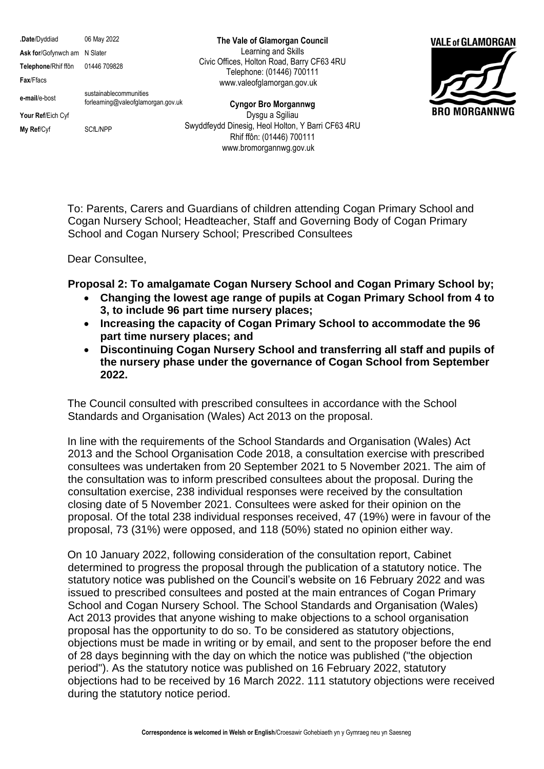**.Date**/Dyddiad 06 May 2022 Ask for/Gofynwch am N Slater **Telephone**/Rhif ffôn 01446 709828 **Fax**/Ffacs **e-mail**/e-bost sustainablecommunities forlearning@valeofglamorgan.gov.uk **Your Ref**/Eich Cyf **My Ref/Cyf** SCfL/NPP

**The Vale of Glamorgan Council** Learning and Skills Civic Offices, Holton Road, Barry CF63 4RU Telephone: (01446) 700111 www.valeofglamorgan.gov.uk

**Cyngor Bro Morgannwg** Dysgu a Sgiliau Swyddfeydd Dinesig, Heol Holton, Y Barri CF63 4RU Rhif ffôn: (01446) 700111 www.bromorgannwg.gov.uk



To: Parents, Carers and Guardians of children attending Cogan Primary School and Cogan Nursery School; Headteacher, Staff and Governing Body of Cogan Primary School and Cogan Nursery School; Prescribed Consultees

Dear Consultee,

**Proposal 2: To amalgamate Cogan Nursery School and Cogan Primary School by;** 

- **Changing the lowest age range of pupils at Cogan Primary School from 4 to 3, to include 96 part time nursery places;**
- **Increasing the capacity of Cogan Primary School to accommodate the 96 part time nursery places; and**
- **Discontinuing Cogan Nursery School and transferring all staff and pupils of the nursery phase under the governance of Cogan School from September 2022.**

The Council consulted with prescribed consultees in accordance with the School Standards and Organisation (Wales) Act 2013 on the proposal.

In line with the requirements of the School Standards and Organisation (Wales) Act 2013 and the School Organisation Code 2018, a consultation exercise with prescribed consultees was undertaken from 20 September 2021 to 5 November 2021. The aim of the consultation was to inform prescribed consultees about the proposal. During the consultation exercise, 238 individual responses were received by the consultation closing date of 5 November 2021. Consultees were asked for their opinion on the proposal. Of the total 238 individual responses received, 47 (19%) were in favour of the proposal, 73 (31%) were opposed, and 118 (50%) stated no opinion either way.

On 10 January 2022, following consideration of the consultation report, Cabinet determined to progress the proposal through the publication of a statutory notice. The statutory notice was published on the Council's website on 16 February 2022 and was issued to prescribed consultees and posted at the main entrances of Cogan Primary School and Cogan Nursery School. The School Standards and Organisation (Wales) Act 2013 provides that anyone wishing to make objections to a school organisation proposal has the opportunity to do so. To be considered as statutory objections, objections must be made in writing or by email, and sent to the proposer before the end of 28 days beginning with the day on which the notice was published ("the objection period"). As the statutory notice was published on 16 February 2022, statutory objections had to be received by 16 March 2022. 111 statutory objections were received during the statutory notice period.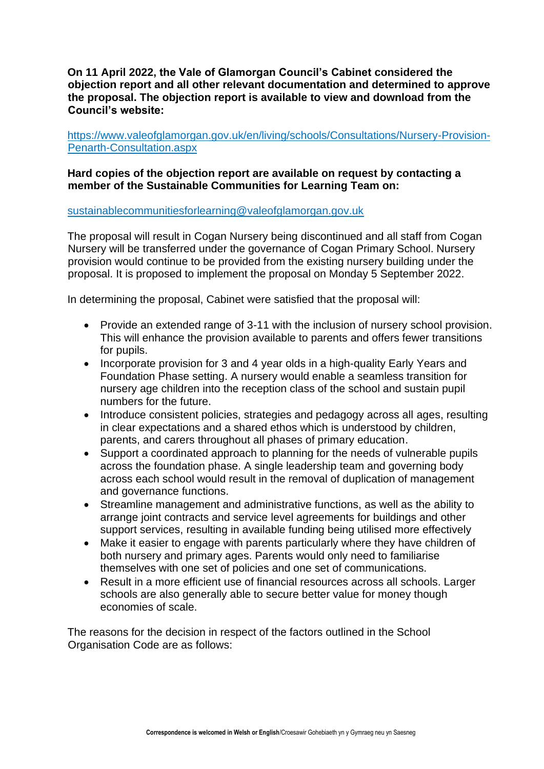**On 11 April 2022, the Vale of Glamorgan Council's Cabinet considered the objection report and all other relevant documentation and determined to approve the proposal. The objection report is available to view and download from the Council's website:**

[https://www.valeofglamorgan.gov.uk/en/living/schools/Consultations/Nursery-Provision-](https://www.valeofglamorgan.gov.uk/en/living/schools/Consultations/Nursery-Provision-Penarth-Consultation.aspx)[Penarth-Consultation.aspx](https://www.valeofglamorgan.gov.uk/en/living/schools/Consultations/Nursery-Provision-Penarth-Consultation.aspx)

## **Hard copies of the objection report are available on request by contacting a member of the Sustainable Communities for Learning Team on:**

### [sustainablecommunitiesforlearning@valeofglamorgan.gov.uk](mailto:sustainablecommunitiesforlearning@valeofglamorgan.gov.uk)

The proposal will result in Cogan Nursery being discontinued and all staff from Cogan Nursery will be transferred under the governance of Cogan Primary School. Nursery provision would continue to be provided from the existing nursery building under the proposal. It is proposed to implement the proposal on Monday 5 September 2022.

In determining the proposal, Cabinet were satisfied that the proposal will:

- Provide an extended range of 3-11 with the inclusion of nursery school provision. This will enhance the provision available to parents and offers fewer transitions for pupils.
- Incorporate provision for 3 and 4 year olds in a high-quality Early Years and Foundation Phase setting. A nursery would enable a seamless transition for nursery age children into the reception class of the school and sustain pupil numbers for the future.
- Introduce consistent policies, strategies and pedagogy across all ages, resulting in clear expectations and a shared ethos which is understood by children, parents, and carers throughout all phases of primary education.
- Support a coordinated approach to planning for the needs of vulnerable pupils across the foundation phase. A single leadership team and governing body across each school would result in the removal of duplication of management and governance functions.
- Streamline management and administrative functions, as well as the ability to arrange joint contracts and service level agreements for buildings and other support services, resulting in available funding being utilised more effectively
- Make it easier to engage with parents particularly where they have children of both nursery and primary ages. Parents would only need to familiarise themselves with one set of policies and one set of communications.
- Result in a more efficient use of financial resources across all schools. Larger schools are also generally able to secure better value for money though economies of scale.

The reasons for the decision in respect of the factors outlined in the School Organisation Code are as follows: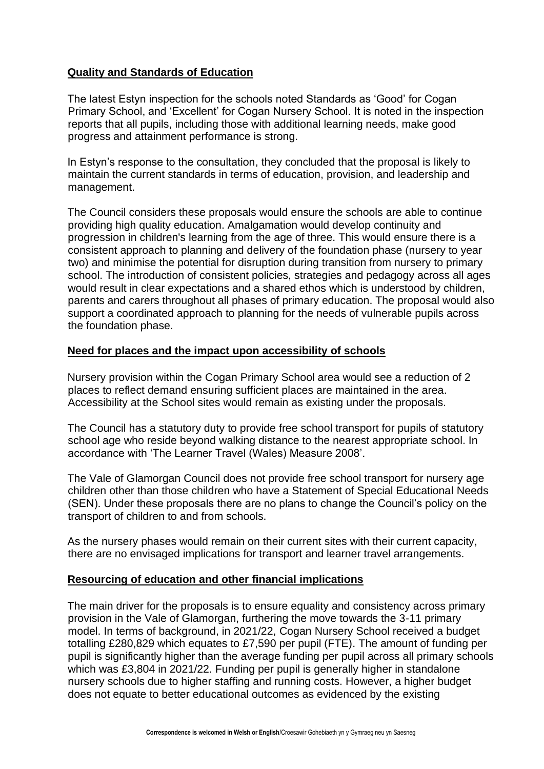# **Quality and Standards of Education**

The latest Estyn inspection for the schools noted Standards as 'Good' for Cogan Primary School, and 'Excellent' for Cogan Nursery School. It is noted in the inspection reports that all pupils, including those with additional learning needs, make good progress and attainment performance is strong.

In Estyn's response to the consultation, they concluded that the proposal is likely to maintain the current standards in terms of education, provision, and leadership and management.

The Council considers these proposals would ensure the schools are able to continue providing high quality education. Amalgamation would develop continuity and progression in children's learning from the age of three. This would ensure there is a consistent approach to planning and delivery of the foundation phase (nursery to year two) and minimise the potential for disruption during transition from nursery to primary school. The introduction of consistent policies, strategies and pedagogy across all ages would result in clear expectations and a shared ethos which is understood by children, parents and carers throughout all phases of primary education. The proposal would also support a coordinated approach to planning for the needs of vulnerable pupils across the foundation phase.

## **Need for places and the impact upon accessibility of schools**

Nursery provision within the Cogan Primary School area would see a reduction of 2 places to reflect demand ensuring sufficient places are maintained in the area. Accessibility at the School sites would remain as existing under the proposals.

The Council has a statutory duty to provide free school transport for pupils of statutory school age who reside beyond walking distance to the nearest appropriate school. In accordance with 'The Learner Travel (Wales) Measure 2008'.

The Vale of Glamorgan Council does not provide free school transport for nursery age children other than those children who have a Statement of Special Educational Needs (SEN). Under these proposals there are no plans to change the Council's policy on the transport of children to and from schools.

As the nursery phases would remain on their current sites with their current capacity, there are no envisaged implications for transport and learner travel arrangements.

## **Resourcing of education and other financial implications**

The main driver for the proposals is to ensure equality and consistency across primary provision in the Vale of Glamorgan, furthering the move towards the 3-11 primary model. In terms of background, in 2021/22, Cogan Nursery School received a budget totalling £280,829 which equates to £7,590 per pupil (FTE). The amount of funding per pupil is significantly higher than the average funding per pupil across all primary schools which was £3,804 in 2021/22. Funding per pupil is generally higher in standalone nursery schools due to higher staffing and running costs. However, a higher budget does not equate to better educational outcomes as evidenced by the existing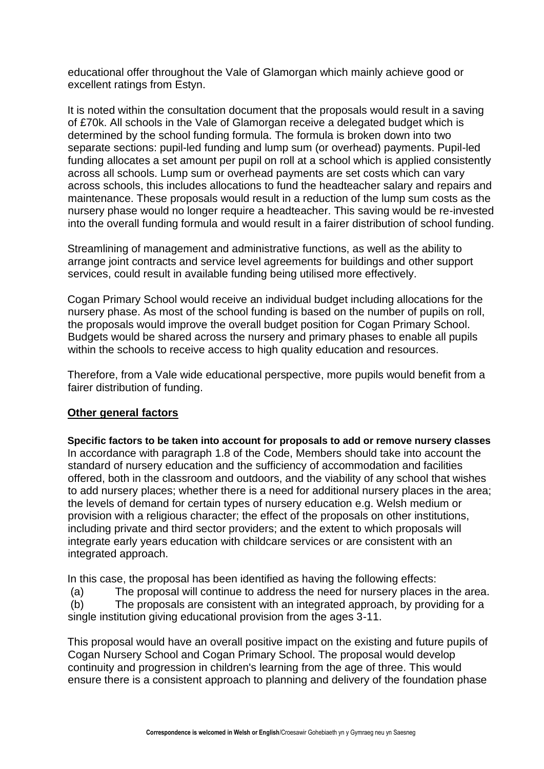educational offer throughout the Vale of Glamorgan which mainly achieve good or excellent ratings from Estyn.

It is noted within the consultation document that the proposals would result in a saving of £70k. All schools in the Vale of Glamorgan receive a delegated budget which is determined by the school funding formula. The formula is broken down into two separate sections: pupil-led funding and lump sum (or overhead) payments. Pupil-led funding allocates a set amount per pupil on roll at a school which is applied consistently across all schools. Lump sum or overhead payments are set costs which can vary across schools, this includes allocations to fund the headteacher salary and repairs and maintenance. These proposals would result in a reduction of the lump sum costs as the nursery phase would no longer require a headteacher. This saving would be re-invested into the overall funding formula and would result in a fairer distribution of school funding.

Streamlining of management and administrative functions, as well as the ability to arrange joint contracts and service level agreements for buildings and other support services, could result in available funding being utilised more effectively.

Cogan Primary School would receive an individual budget including allocations for the nursery phase. As most of the school funding is based on the number of pupils on roll, the proposals would improve the overall budget position for Cogan Primary School. Budgets would be shared across the nursery and primary phases to enable all pupils within the schools to receive access to high quality education and resources.

Therefore, from a Vale wide educational perspective, more pupils would benefit from a fairer distribution of funding.

## **Other general factors**

**Specific factors to be taken into account for proposals to add or remove nursery classes** In accordance with paragraph 1.8 of the Code, Members should take into account the standard of nursery education and the sufficiency of accommodation and facilities offered, both in the classroom and outdoors, and the viability of any school that wishes to add nursery places; whether there is a need for additional nursery places in the area; the levels of demand for certain types of nursery education e.g. Welsh medium or provision with a religious character; the effect of the proposals on other institutions, including private and third sector providers; and the extent to which proposals will integrate early years education with childcare services or are consistent with an integrated approach.

In this case, the proposal has been identified as having the following effects:

(a) The proposal will continue to address the need for nursery places in the area.

(b) The proposals are consistent with an integrated approach, by providing for a single institution giving educational provision from the ages 3-11.

This proposal would have an overall positive impact on the existing and future pupils of Cogan Nursery School and Cogan Primary School. The proposal would develop continuity and progression in children's learning from the age of three. This would ensure there is a consistent approach to planning and delivery of the foundation phase